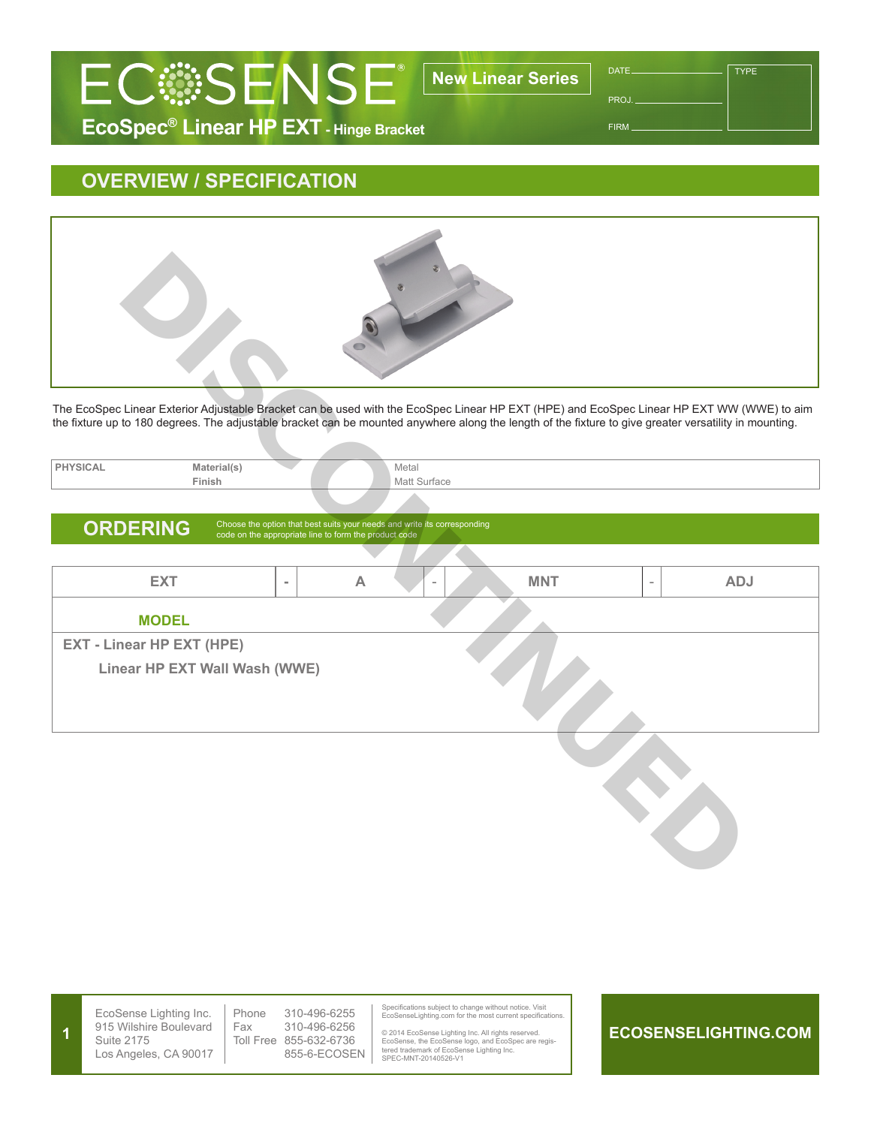

PROJ.

TYPE

FIRM

## **OVERVIEW / SPECIFICATION**



| PHYSICAL | Material(s) | Metal        |
|----------|-------------|--------------|
|          | Finish      | Matt Surface |
|          |             |              |

## ORDERING Choose the option that best suits your needs and write its corresponding code on the appropriate line to form the product code

| The EcoSpec Linear Exterior Adjustable Bracket can be used with the EcoSpec Linear HP EXT (HPE) and EcoSpec Linear HP EXT WW (WWE) to aim              |                       |                                                                                                                                   |                       |  |            |                          |            |
|--------------------------------------------------------------------------------------------------------------------------------------------------------|-----------------------|-----------------------------------------------------------------------------------------------------------------------------------|-----------------------|--|------------|--------------------------|------------|
| the fixture up to 180 degrees. The adjustable bracket can be mounted anywhere along the length of the fixture to give greater versatility in mounting. |                       |                                                                                                                                   |                       |  |            |                          |            |
| <b>PHYSICAL</b>                                                                                                                                        | Material(s)<br>Finish |                                                                                                                                   | Metal<br>Matt Surface |  |            |                          |            |
|                                                                                                                                                        |                       |                                                                                                                                   |                       |  |            |                          |            |
| <b>ORDERING</b>                                                                                                                                        |                       | Choose the option that best suits your needs and write its corresponding<br>code on the appropriate line to form the product code |                       |  |            |                          |            |
|                                                                                                                                                        |                       |                                                                                                                                   |                       |  |            |                          |            |
| <b>EXT</b>                                                                                                                                             | $\equiv$              | $\boldsymbol{\mathsf{A}}$                                                                                                         |                       |  | <b>MNT</b> | $\overline{\phantom{a}}$ | <b>ADJ</b> |
| <b>MODEL</b>                                                                                                                                           |                       |                                                                                                                                   |                       |  |            |                          |            |
| <b>EXT - Linear HP EXT (HPE)</b><br>Linear HP EXT Wall Wash (WWE)                                                                                      |                       |                                                                                                                                   |                       |  |            |                          |            |
|                                                                                                                                                        |                       |                                                                                                                                   |                       |  |            |                          |            |

|  | EcoSense Lighting Inc.<br>915 Wilshire Boulevard<br>Suite 2175<br>Los Angeles, CA 90017 | Phone<br>Fax | 310-496-6255<br>310-496-6256<br>Toll Free 855-632-6736<br>855-6-ECOSEN |  | Specifications subject to change without notice. Visit<br>EcoSenseLighting.com for the most current specifications.<br>© 2014 EcoSense Lighting Inc. All rights reserved.<br>EcoSense, the EcoSense logo, and EcoSpec are regis-<br>tered trademark of EcoSense Lighting Inc.<br>SPEC-MNT-20140526-V1 |  | ECOSENSELIGHTING.COM |
|--|-----------------------------------------------------------------------------------------|--------------|------------------------------------------------------------------------|--|-------------------------------------------------------------------------------------------------------------------------------------------------------------------------------------------------------------------------------------------------------------------------------------------------------|--|----------------------|
|--|-----------------------------------------------------------------------------------------|--------------|------------------------------------------------------------------------|--|-------------------------------------------------------------------------------------------------------------------------------------------------------------------------------------------------------------------------------------------------------------------------------------------------------|--|----------------------|